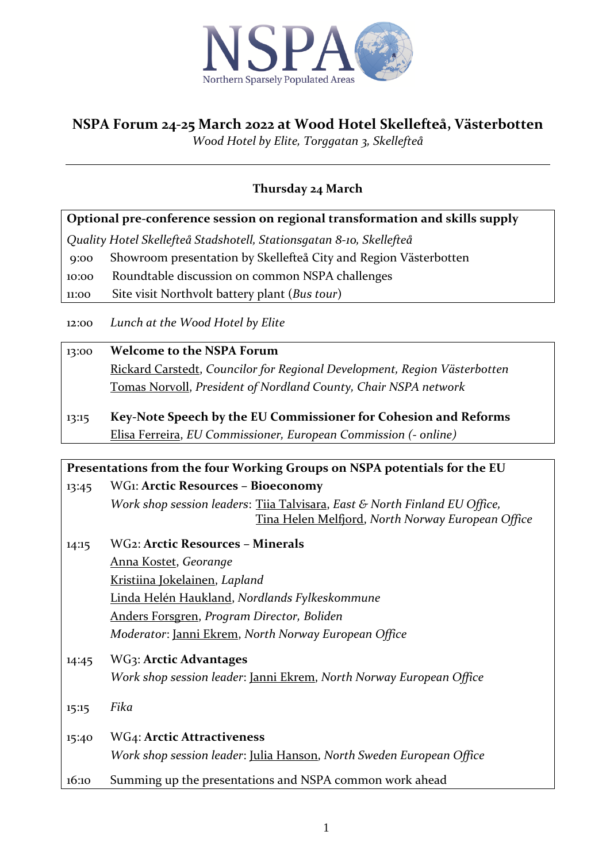

# **NSPA Forum 24-25 March 2022 at Wood Hotel Skellefteå, Västerbotten**

*Wood Hotel by Elite, Torggatan 3, Skellefteå*

## **Thursday 24 March**

**Optional pre-conference session on regional transformation and skills supply**

*Quality Hotel Skellefteå Stadshotell, [Stationsgatan 8-10,](https://goo.gl/maps/Jy1vhTs2drPMKQHbA) Skellefteå*

9:00 Showroom presentation by Skellefteå City and Region Västerbotten

10:00 Roundtable discussion on common NSPA challenges

11:00 Site visit Northvolt battery plant (*Bus tour*)

12:00 *Lunch at the Wood Hotel by Elite*

#### 13:00 **Welcome to the NSPA Forum**

Rickard Carstedt, *Councilor for Regional Development, Region Västerbotten* Tomas Norvoll, *President of Nordland County, Chair NSPA network*

13:15 **Key-Note Speech by the EU Commissioner for Cohesion and Reforms** Elisa Ferreira, *EU Commissioner, European Commission (- online)*

### **Presentations from the four Working Groups on NSPA potentials for the EU** 13:45 WG1: **Arctic Resources – Bioeconomy**

*Work shop session leaders*: Tiia Talvisara, *East & North Finland EU Office,* Tina Helen Melfjord, *North Norway European Office*

- 14:15 WG2: **Arctic Resources – Minerals** Anna Kostet, *Georange* Kristiina Jokelainen, *Lapland* Linda Helén Haukland, *Nordlands Fylkeskommune* Anders Forsgren, *Program Director, Boliden Moderator*: Janni Ekrem, *North Norway European Office*
- 14:45 WG3: **Arctic Advantages** *Work shop session leader*: Janni Ekrem, *North Norway European Office*
- 15:15 *Fika*
- 15:40 WG4: **Arctic Attractiveness** *Work shop session leader*: Julia Hanson, *North Sweden European Office*
- 16:10 Summing up the presentations and NSPA common work ahead